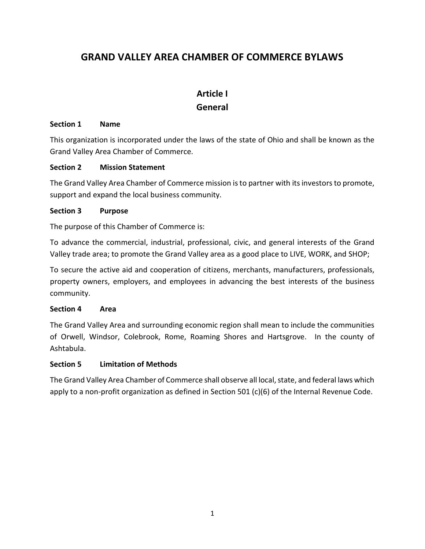## GRAND VALLEY AREA CHAMBER OF COMMERCE BYLAWS

## Article I General

#### Section 1 Name

This organization is incorporated under the laws of the state of Ohio and shall be known as the Grand Valley Area Chamber of Commerce.

### Section 2 Mission Statement

The Grand Valley Area Chamber of Commerce mission is to partner with its investors to promote, support and expand the local business community.

#### Section 3 Purpose

The purpose of this Chamber of Commerce is:

To advance the commercial, industrial, professional, civic, and general interests of the Grand Valley trade area; to promote the Grand Valley area as a good place to LIVE, WORK, and SHOP;

To secure the active aid and cooperation of citizens, merchants, manufacturers, professionals, property owners, employers, and employees in advancing the best interests of the business community.

#### Section 4 Area

The Grand Valley Area and surrounding economic region shall mean to include the communities of Orwell, Windsor, Colebrook, Rome, Roaming Shores and Hartsgrove. In the county of Ashtabula.

### Section 5 Limitation of Methods

The Grand Valley Area Chamber of Commerce shall observe all local, state, and federal laws which apply to a non-profit organization as defined in Section 501 (c)(6) of the Internal Revenue Code.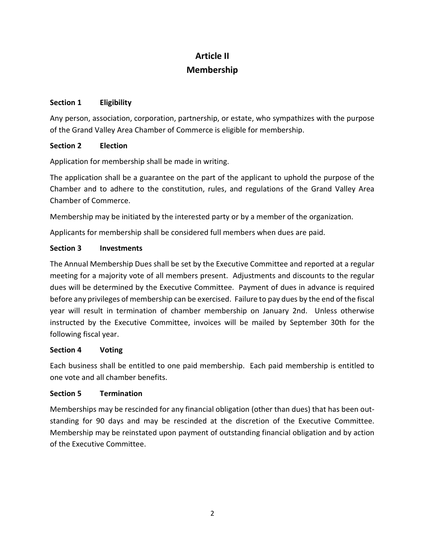## Article II Membership

### Section 1 Eligibility

Any person, association, corporation, partnership, or estate, who sympathizes with the purpose of the Grand Valley Area Chamber of Commerce is eligible for membership.

#### Section 2 Election

Application for membership shall be made in writing.

The application shall be a guarantee on the part of the applicant to uphold the purpose of the Chamber and to adhere to the constitution, rules, and regulations of the Grand Valley Area Chamber of Commerce.

Membership may be initiated by the interested party or by a member of the organization.

Applicants for membership shall be considered full members when dues are paid.

### Section 3 Investments

The Annual Membership Dues shall be set by the Executive Committee and reported at a regular meeting for a majority vote of all members present. Adjustments and discounts to the regular dues will be determined by the Executive Committee. Payment of dues in advance is required before any privileges of membership can be exercised. Failure to pay dues by the end of the fiscal year will result in termination of chamber membership on January 2nd. Unless otherwise instructed by the Executive Committee, invoices will be mailed by September 30th for the following fiscal year.

#### Section 4 Voting

Each business shall be entitled to one paid membership. Each paid membership is entitled to one vote and all chamber benefits.

### Section 5 Termination

Memberships may be rescinded for any financial obligation (other than dues) that has been outstanding for 90 days and may be rescinded at the discretion of the Executive Committee. Membership may be reinstated upon payment of outstanding financial obligation and by action of the Executive Committee.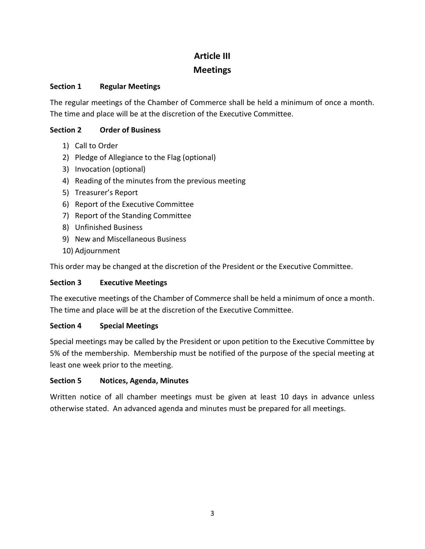# Article III Meetings

### Section 1 Regular Meetings

The regular meetings of the Chamber of Commerce shall be held a minimum of once a month. The time and place will be at the discretion of the Executive Committee.

## Section 2 Order of Business

- 1) Call to Order
- 2) Pledge of Allegiance to the Flag (optional)
- 3) Invocation (optional)
- 4) Reading of the minutes from the previous meeting
- 5) Treasurer's Report
- 6) Report of the Executive Committee
- 7) Report of the Standing Committee
- 8) Unfinished Business
- 9) New and Miscellaneous Business
- 10) Adjournment

This order may be changed at the discretion of the President or the Executive Committee.

## Section 3 Executive Meetings

The executive meetings of the Chamber of Commerce shall be held a minimum of once a month. The time and place will be at the discretion of the Executive Committee.

## Section 4 Special Meetings

Special meetings may be called by the President or upon petition to the Executive Committee by 5% of the membership. Membership must be notified of the purpose of the special meeting at least one week prior to the meeting.

### Section 5 Notices, Agenda, Minutes

Written notice of all chamber meetings must be given at least 10 days in advance unless otherwise stated. An advanced agenda and minutes must be prepared for all meetings.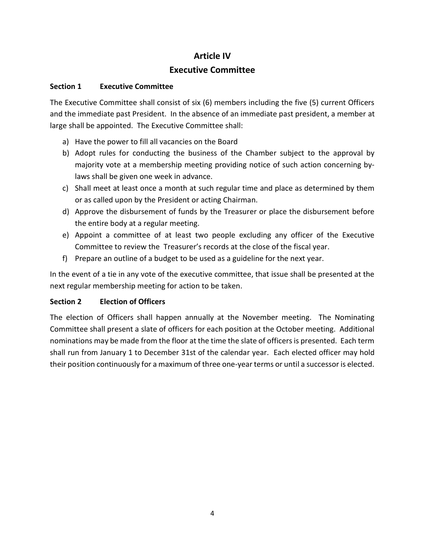# Article IV Executive Committee

### Section 1 Executive Committee

The Executive Committee shall consist of six (6) members including the five (5) current Officers and the immediate past President. In the absence of an immediate past president, a member at large shall be appointed. The Executive Committee shall:

- a) Have the power to fill all vacancies on the Board
- b) Adopt rules for conducting the business of the Chamber subject to the approval by majority vote at a membership meeting providing notice of such action concerning bylaws shall be given one week in advance.
- c) Shall meet at least once a month at such regular time and place as determined by them or as called upon by the President or acting Chairman.
- d) Approve the disbursement of funds by the Treasurer or place the disbursement before the entire body at a regular meeting.
- e) Appoint a committee of at least two people excluding any officer of the Executive Committee to review the Treasurer's records at the close of the fiscal year.
- f) Prepare an outline of a budget to be used as a guideline for the next year.

In the event of a tie in any vote of the executive committee, that issue shall be presented at the next regular membership meeting for action to be taken.

### Section 2 Election of Officers

The election of Officers shall happen annually at the November meeting. The Nominating Committee shall present a slate of officers for each position at the October meeting. Additional nominations may be made from the floor at the time the slate of officers is presented. Each term shall run from January 1 to December 31st of the calendar year. Each elected officer may hold their position continuously for a maximum of three one-year terms or until a successor is elected.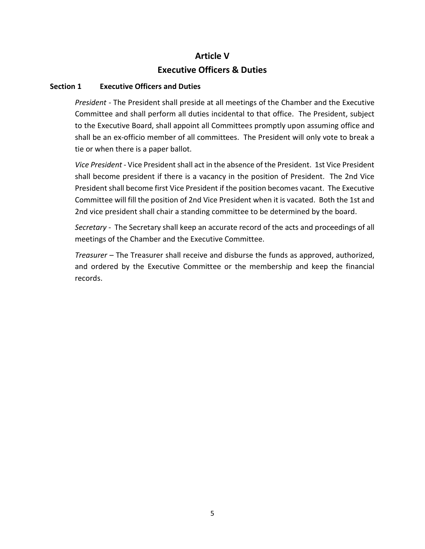## Article V Executive Officers & Duties

#### Section 1 Executive Officers and Duties

President - The President shall preside at all meetings of the Chamber and the Executive Committee and shall perform all duties incidental to that office. The President, subject to the Executive Board, shall appoint all Committees promptly upon assuming office and shall be an ex-officio member of all committees. The President will only vote to break a tie or when there is a paper ballot.

Vice President - Vice President shall act in the absence of the President. 1st Vice President shall become president if there is a vacancy in the position of President. The 2nd Vice President shall become first Vice President if the position becomes vacant. The Executive Committee will fill the position of 2nd Vice President when it is vacated. Both the 1st and 2nd vice president shall chair a standing committee to be determined by the board.

Secretary - The Secretary shall keep an accurate record of the acts and proceedings of all meetings of the Chamber and the Executive Committee.

Treasurer – The Treasurer shall receive and disburse the funds as approved, authorized, and ordered by the Executive Committee or the membership and keep the financial records.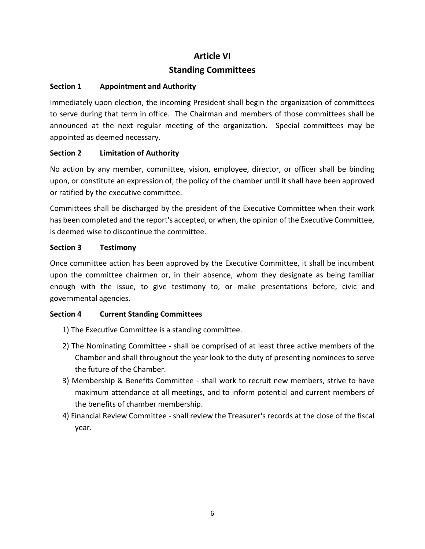# Article VI Standing Committees

### Section 1 Appointment and Authority

Immediately upon election, the incoming President shall begin the organization of committees to serve during that term in office. The Chairman and members of those committees shall be announced at the next regular meeting of the organization. Special committees may be appointed as deemed necessary.

### Section 2 Limitation of Authority

No action by any member, committee, vision, employee, director, or officer shall be binding upon, or constitute an expression of, the policy of the chamber until it shall have been approved or ratified by the executive committee.

Committees shall be discharged by the president of the Executive Committee when their work has been completed and the report's accepted, or when, the opinion of the Executive Committee, is deemed wise to discontinue the committee.

### Section 3 Testimony

Once committee action has been approved by the Executive Committee, it shall be incumbent upon the committee chairmen or, in their absence, whom they designate as being familiar enough with the issue, to give testimony to, or make presentations before, civic and governmental agencies.

### Section 4 Current Standing Committees

- 1) The Executive Committee is a standing committee.
- 2) The Nominating Committee shall be comprised of at least three active members of the Chamber and shall throughout the year look to the duty of presenting nominees to serve the future of the Chamber.
- 3) Membership & Benefits Committee shall work to recruit new members, strive to have maximum attendance at all meetings, and to inform potential and current members of the benefits of chamber membership.
- 4) Financial Review Committee shall review the Treasurer's records at the close of the fiscal year.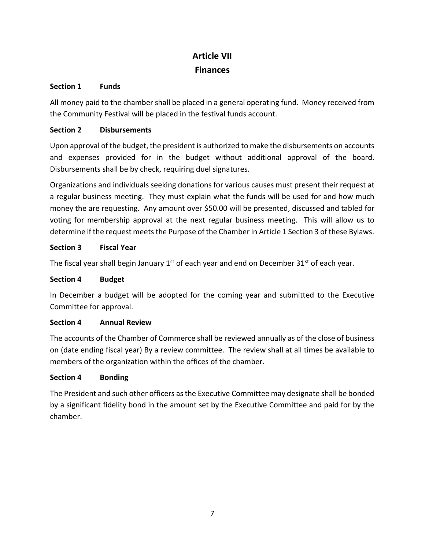# Article VII **Finances**

### Section 1 Funds

All money paid to the chamber shall be placed in a general operating fund. Money received from the Community Festival will be placed in the festival funds account.

### Section 2 Disbursements

Upon approval of the budget, the president is authorized to make the disbursements on accounts and expenses provided for in the budget without additional approval of the board. Disbursements shall be by check, requiring duel signatures.

Organizations and individuals seeking donations for various causes must present their request at a regular business meeting. They must explain what the funds will be used for and how much money the are requesting. Any amount over \$50.00 will be presented, discussed and tabled for voting for membership approval at the next regular business meeting. This will allow us to determine if the request meets the Purpose of the Chamber in Article 1 Section 3 of these Bylaws.

### Section 3 Fiscal Year

The fiscal year shall begin January  $1<sup>st</sup>$  of each year and end on December  $31<sup>st</sup>$  of each year.

### Section 4 Budget

In December a budget will be adopted for the coming year and submitted to the Executive Committee for approval.

### Section 4 Annual Review

The accounts of the Chamber of Commerce shall be reviewed annually as of the close of business on (date ending fiscal year) By a review committee. The review shall at all times be available to members of the organization within the offices of the chamber.

### Section 4 Bonding

The President and such other officers as the Executive Committee may designate shall be bonded by a significant fidelity bond in the amount set by the Executive Committee and paid for by the chamber.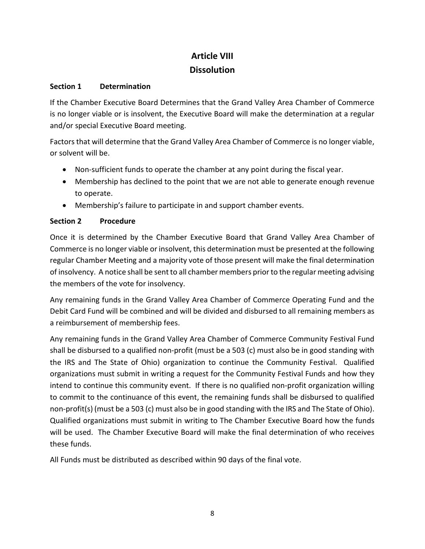## Article VIII **Dissolution**

### Section 1 Determination

If the Chamber Executive Board Determines that the Grand Valley Area Chamber of Commerce is no longer viable or is insolvent, the Executive Board will make the determination at a regular and/or special Executive Board meeting.

Factors that will determine that the Grand Valley Area Chamber of Commerce is no longer viable, or solvent will be.

- Non-sufficient funds to operate the chamber at any point during the fiscal year.
- Membership has declined to the point that we are not able to generate enough revenue to operate.
- Membership's failure to participate in and support chamber events.

## Section 2 Procedure

Once it is determined by the Chamber Executive Board that Grand Valley Area Chamber of Commerce is no longer viable or insolvent, this determination must be presented at the following regular Chamber Meeting and a majority vote of those present will make the final determination of insolvency. A notice shall be sent to all chamber members prior to the regular meeting advising the members of the vote for insolvency.

Any remaining funds in the Grand Valley Area Chamber of Commerce Operating Fund and the Debit Card Fund will be combined and will be divided and disbursed to all remaining members as a reimbursement of membership fees.

Any remaining funds in the Grand Valley Area Chamber of Commerce Community Festival Fund shall be disbursed to a qualified non-profit (must be a 503 (c) must also be in good standing with the IRS and The State of Ohio) organization to continue the Community Festival. Qualified organizations must submit in writing a request for the Community Festival Funds and how they intend to continue this community event. If there is no qualified non-profit organization willing to commit to the continuance of this event, the remaining funds shall be disbursed to qualified non-profit(s) (must be a 503 (c) must also be in good standing with the IRS and The State of Ohio). Qualified organizations must submit in writing to The Chamber Executive Board how the funds will be used. The Chamber Executive Board will make the final determination of who receives these funds.

All Funds must be distributed as described within 90 days of the final vote.